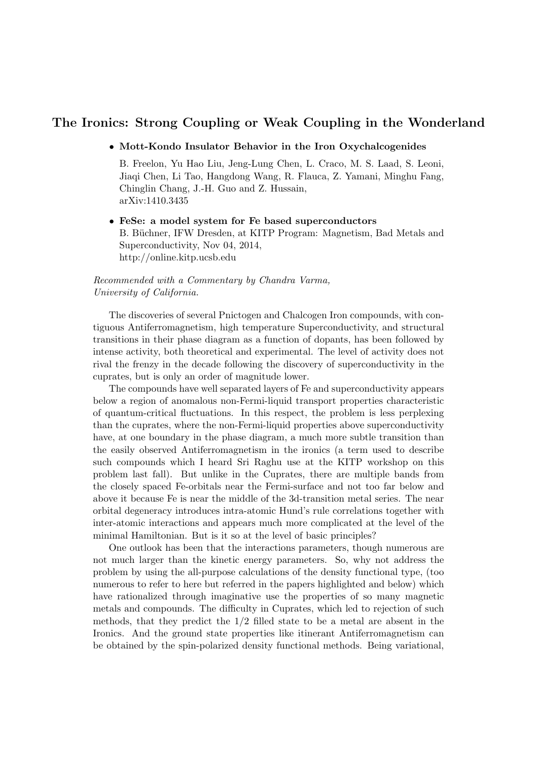## The Ironics: Strong Coupling or Weak Coupling in the Wonderland

• Mott-Kondo Insulator Behavior in the Iron Oxychalcogenides

B. Freelon, Yu Hao Liu, Jeng-Lung Chen, L. Craco, M. S. Laad, S. Leoni, Jiaqi Chen, Li Tao, Hangdong Wang, R. Flauca, Z. Yamani, Minghu Fang, Chinglin Chang, J.-H. Guo and Z. Hussain, arXiv:1410.3435

• FeSe: a model system for Fe based superconductors B. Büchner, IFW Dresden, at KITP Program: Magnetism, Bad Metals and Superconductivity, Nov 04, 2014, http://online.kitp.ucsb.edu

## Recommended with a Commentary by Chandra Varma, University of California.

The discoveries of several Pnictogen and Chalcogen Iron compounds, with contiguous Antiferromagnetism, high temperature Superconductivity, and structural transitions in their phase diagram as a function of dopants, has been followed by intense activity, both theoretical and experimental. The level of activity does not rival the frenzy in the decade following the discovery of superconductivity in the cuprates, but is only an order of magnitude lower.

The compounds have well separated layers of Fe and superconductivity appears below a region of anomalous non-Fermi-liquid transport properties characteristic of quantum-critical fluctuations. In this respect, the problem is less perplexing than the cuprates, where the non-Fermi-liquid properties above superconductivity have, at one boundary in the phase diagram, a much more subtle transition than the easily observed Antiferromagnetism in the ironics (a term used to describe such compounds which I heard Sri Raghu use at the KITP workshop on this problem last fall). But unlike in the Cuprates, there are multiple bands from the closely spaced Fe-orbitals near the Fermi-surface and not too far below and above it because Fe is near the middle of the 3d-transition metal series. The near orbital degeneracy introduces intra-atomic Hund's rule correlations together with inter-atomic interactions and appears much more complicated at the level of the minimal Hamiltonian. But is it so at the level of basic principles?

One outlook has been that the interactions parameters, though numerous are not much larger than the kinetic energy parameters. So, why not address the problem by using the all-purpose calculations of the density functional type, (too numerous to refer to here but referred in the papers highlighted and below) which have rationalized through imaginative use the properties of so many magnetic metals and compounds. The difficulty in Cuprates, which led to rejection of such methods, that they predict the 1/2 filled state to be a metal are absent in the Ironics. And the ground state properties like itinerant Antiferromagnetism can be obtained by the spin-polarized density functional methods. Being variational,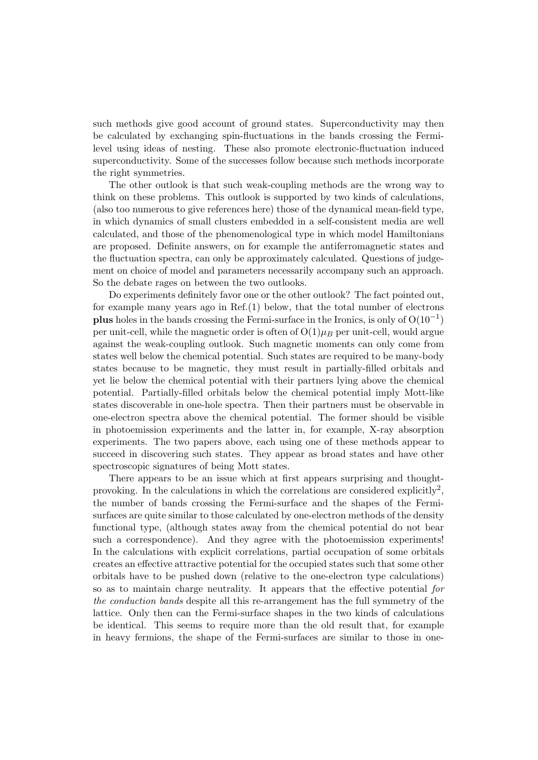such methods give good account of ground states. Superconductivity may then be calculated by exchanging spin-fluctuations in the bands crossing the Fermilevel using ideas of nesting. These also promote electronic-fluctuation induced superconductivity. Some of the successes follow because such methods incorporate the right symmetries.

The other outlook is that such weak-coupling methods are the wrong way to think on these problems. This outlook is supported by two kinds of calculations, (also too numerous to give references here) those of the dynamical mean-field type, in which dynamics of small clusters embedded in a self-consistent media are well calculated, and those of the phenomenological type in which model Hamiltonians are proposed. Definite answers, on for example the antiferromagnetic states and the fluctuation spectra, can only be approximately calculated. Questions of judgement on choice of model and parameters necessarily accompany such an approach. So the debate rages on between the two outlooks.

Do experiments definitely favor one or the other outlook? The fact pointed out, for example many years ago in Ref.(1) below, that the total number of electrons plus holes in the bands crossing the Fermi-surface in the Ironics, is only of  $O(10^{-1})$ per unit-cell, while the magnetic order is often of  $O(1)\mu_B$  per unit-cell, would argue against the weak-coupling outlook. Such magnetic moments can only come from states well below the chemical potential. Such states are required to be many-body states because to be magnetic, they must result in partially-filled orbitals and yet lie below the chemical potential with their partners lying above the chemical potential. Partially-filled orbitals below the chemical potential imply Mott-like states discoverable in one-hole spectra. Then their partners must be observable in one-electron spectra above the chemical potential. The former should be visible in photoemission experiments and the latter in, for example, X-ray absorption experiments. The two papers above, each using one of these methods appear to succeed in discovering such states. They appear as broad states and have other spectroscopic signatures of being Mott states.

There appears to be an issue which at first appears surprising and thoughtprovoking. In the calculations in which the correlations are considered explicitly<sup>2</sup>, the number of bands crossing the Fermi-surface and the shapes of the Fermisurfaces are quite similar to those calculated by one-electron methods of the density functional type, (although states away from the chemical potential do not bear such a correspondence). And they agree with the photoemission experiments! In the calculations with explicit correlations, partial occupation of some orbitals creates an effective attractive potential for the occupied states such that some other orbitals have to be pushed down (relative to the one-electron type calculations) so as to maintain charge neutrality. It appears that the effective potential for the conduction bands despite all this re-arrangement has the full symmetry of the lattice. Only then can the Fermi-surface shapes in the two kinds of calculations be identical. This seems to require more than the old result that, for example in heavy fermions, the shape of the Fermi-surfaces are similar to those in one